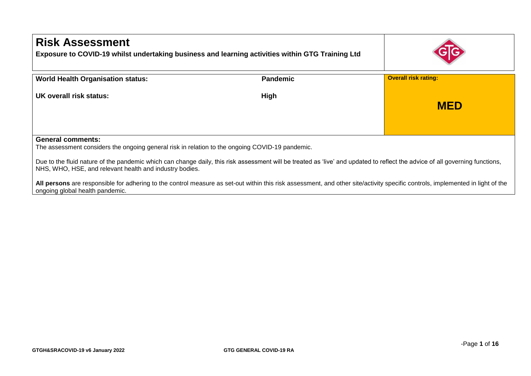| <b>Risk Assessment</b><br>Exposure to COVID-19 whilst undertaking business and learning activities within GTG Training Ltd                                                                                                                                                                                                                                             |                 |                             |
|------------------------------------------------------------------------------------------------------------------------------------------------------------------------------------------------------------------------------------------------------------------------------------------------------------------------------------------------------------------------|-----------------|-----------------------------|
| <b>World Health Organisation status:</b>                                                                                                                                                                                                                                                                                                                               | <b>Pandemic</b> | <b>Overall risk rating:</b> |
| UK overall risk status:                                                                                                                                                                                                                                                                                                                                                | High            | <b>MED</b>                  |
| <b>General comments:</b><br>The assessment considers the ongoing general risk in relation to the ongoing COVID-19 pandemic.<br>Due to the fluid nature of the pandemic which can change daily, this risk assessment will be treated as 'live' and updated to reflect the advice of all governing functions,<br>NHS, WHO, HSE, and relevant health and industry bodies. |                 |                             |
| All persons are responsible for adhering to the control measure as set-out within this risk assessment, and other site/activity specific controls, implemented in light of the<br>ongoing global health pandemic.                                                                                                                                                      |                 |                             |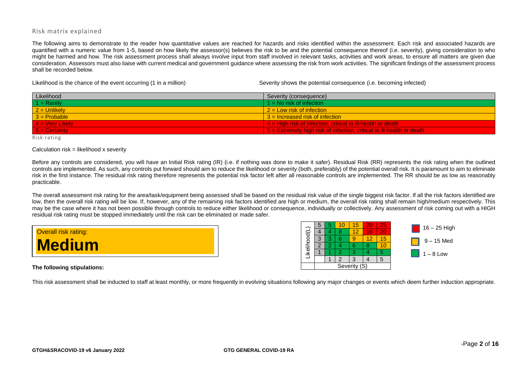## Risk matrix explained

The following aims to demonstrate to the reader how quantitative values are reached for hazards and risks identified within the assessment. Each risk and associated hazards are quantified with a numeric value from 1-5, based on how likely the assessor(s) believes the risk to be and the potential consequence thereof (i.e. severity), giving consideration to who might be harmed and how. The risk assessment process shall always involve input from staff involved in relevant tasks, activities and work areas, to ensure all matters are given due consideration. Assessors must also liaise with current medical and government guidance where assessing the risk from work activities. The significant findings of the assessment process shall be recorded below.

Likelihood is the chance of the event occurring (1 in a million) Severity shows the potential consequence (i.e. becoming infected)

| Likelihood               | Severity (consequence)                                                             |
|--------------------------|------------------------------------------------------------------------------------|
| $1 =$ Rarely             | $1 = No$ risk of infection                                                         |
| $2 =$ Unlikely           | $2 =$ Low risk of infection                                                        |
| $3 =$ Probable           | $3$ = Increased risk of infection                                                  |
| $4 = \text{Very likely}$ | $\frac{1}{2}$ 4 = High risk of infection, critical to ill-health or death          |
| $5 =$ Certainty          | $\overline{5}$ = Extremely high risk of infection, critical to ill-health or death |

Risk rating

## Calculation  $risk = likelihood \times severity$

Before any controls are considered, you will have an Initial Risk rating (IR) (i.e. if nothing was done to make it safer). Residual Risk (RR) represents the risk rating when the outlined controls are implemented. As such, any controls put forward should aim to reduce the likelihood or severity (both, preferably) of the potential overall risk. It is paramount to aim to eliminate risk in the first instance. The residual risk rating therefore represents the potential risk factor left after all reasonable controls are implemented. The RR should be as low as reasonably practicable.

The overall assessment risk rating for the area/task/equipment being assessed shall be based on the residual risk value of the single biggest risk factor. If all the risk factors identified are low, then the overall risk rating will be low. If, however, any of the remaining risk factors identified are high or medium, the overall risk rating shall remain high/medium respectively. This may be the case where it has not been possible through controls to reduce either likelihood or consequence, individually or collectively. Any assessment of risk coming out with a HIGH residual risk rating must be stopped immediately until the risk can be eliminated or made safer.

| <b>Overall risk rating:</b> |  |
|-----------------------------|--|
| <b>Medium</b>               |  |

**The following stipulations:**

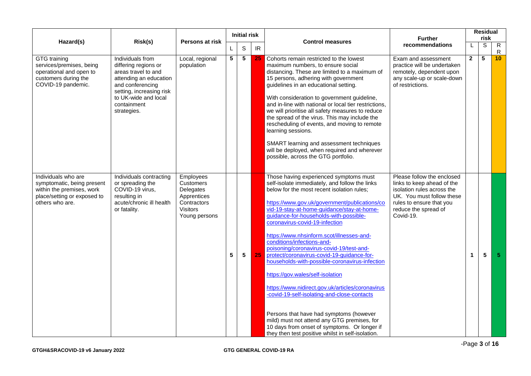|                                                                                                                                  |                                                                                                                                                                                                 | Persons at risk                                                                                       |                | <b>Initial risk</b>     |    |                                                                                                                                                                                                                                                                                                                                                                                                                                                                                                                                                                                                                                                                                                                                                                                                                                                                                | <b>Further</b>                                                                                                                                                                       |                      | <b>Residual</b><br>risk |                              |
|----------------------------------------------------------------------------------------------------------------------------------|-------------------------------------------------------------------------------------------------------------------------------------------------------------------------------------------------|-------------------------------------------------------------------------------------------------------|----------------|-------------------------|----|--------------------------------------------------------------------------------------------------------------------------------------------------------------------------------------------------------------------------------------------------------------------------------------------------------------------------------------------------------------------------------------------------------------------------------------------------------------------------------------------------------------------------------------------------------------------------------------------------------------------------------------------------------------------------------------------------------------------------------------------------------------------------------------------------------------------------------------------------------------------------------|--------------------------------------------------------------------------------------------------------------------------------------------------------------------------------------|----------------------|-------------------------|------------------------------|
| Hazard(s)                                                                                                                        | Risk(s)                                                                                                                                                                                         |                                                                                                       | L              | $\mathbb S$             | IR | <b>Control measures</b>                                                                                                                                                                                                                                                                                                                                                                                                                                                                                                                                                                                                                                                                                                                                                                                                                                                        | recommendations                                                                                                                                                                      | L                    | S                       | $\mathsf{R}$<br>$\mathsf{R}$ |
| GTG training<br>services/premises, being<br>operational and open to<br>customers during the<br>COVID-19 pandemic.                | Individuals from<br>differing regions or<br>areas travel to and<br>attending an education<br>and conferencing<br>setting, increasing risk<br>to UK-wide and local<br>containment<br>strategies. | Local, regional<br>population                                                                         | $\overline{5}$ | $\overline{\mathbf{5}}$ | 25 | Cohorts remain restricted to the lowest<br>maximum numbers, to ensure social<br>distancing. These are limited to a maximum of<br>15 persons, adhering with government<br>guidelines in an educational setting.<br>With consideration to government guideline,<br>and in-line with national or local tier restrictions,<br>we will prioritise all safety measures to reduce<br>the spread of the virus. This may include the<br>rescheduling of events, and moving to remote<br>learning sessions.<br>SMART learning and assessment techniques<br>will be deployed, when required and wherever<br>possible, across the GTG portfolio.                                                                                                                                                                                                                                           | Exam and assessment<br>practice will be undertaken<br>remotely, dependent upon<br>any scale-up or scale-down<br>of restrictions.                                                     | $\overline{2}$       | $\overline{5}$          | 10 <sup>°</sup>              |
| Individuals who are<br>symptomatic, being present<br>within the premises, work<br>place/setting or exposed to<br>others who are. | Individuals contracting<br>or spreading the<br>COVID-19 virus,<br>resulting in<br>acute/chronic ill health<br>or fatality.                                                                      | Employees<br><b>Customers</b><br>Delegates<br>Apprentices<br>Contractors<br>Visitors<br>Young persons | 5              | 5                       | 25 | Those having experienced symptoms must<br>self-isolate immediately, and follow the links<br>below for the most recent isolation rules;<br>https://www.gov.uk/government/publications/co<br>vid-19-stay-at-home-guidance/stay-at-home-<br>guidance-for-households-with-possible-<br>coronavirus-covid-19-infection<br>https://www.nhsinform.scot/illnesses-and-<br>conditions/infections-and-<br>poisoning/coronavirus-covid-19/test-and-<br>protect/coronavirus-covid-19-guidance-for-<br>households-with-possible-coronavirus-infection<br>https://gov.wales/self-isolation<br>https://www.nidirect.gov.uk/articles/coronavirus<br>-covid-19-self-isolating-and-close-contacts<br>Persons that have had symptoms (however<br>mild) must not attend any GTG premises, for<br>10 days from onset of symptoms. Or longer if<br>they then test positive whilst in self-isolation. | Please follow the enclosed<br>links to keep ahead of the<br>isolation rules across the<br>UK. You must follow these<br>rules to ensure that you<br>reduce the spread of<br>Covid-19. | $\blacktriangleleft$ | 5                       | -5.                          |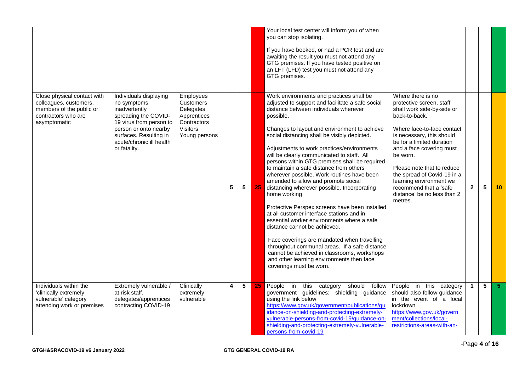|                                                                                                                          |                                                                                                                                                                                                          |                                                                                                |   |                 |    | Your local test center will inform you of when<br>you can stop isolating.<br>If you have booked, or had a PCR test and are<br>awaiting the result you must not attend any<br>GTG premises. If you have tested positive on<br>an LFT (LFD) test you must not attend any<br>GTG premises.                                                                                                                                                                                                                                                                                                                                                                                                                                                                                                                                                                                                                                                                                                            |                                                                                                                                                                                                                                                                                                                                                                                          |                      |                 |     |
|--------------------------------------------------------------------------------------------------------------------------|----------------------------------------------------------------------------------------------------------------------------------------------------------------------------------------------------------|------------------------------------------------------------------------------------------------|---|-----------------|----|----------------------------------------------------------------------------------------------------------------------------------------------------------------------------------------------------------------------------------------------------------------------------------------------------------------------------------------------------------------------------------------------------------------------------------------------------------------------------------------------------------------------------------------------------------------------------------------------------------------------------------------------------------------------------------------------------------------------------------------------------------------------------------------------------------------------------------------------------------------------------------------------------------------------------------------------------------------------------------------------------|------------------------------------------------------------------------------------------------------------------------------------------------------------------------------------------------------------------------------------------------------------------------------------------------------------------------------------------------------------------------------------------|----------------------|-----------------|-----|
| Close physical contact with<br>colleagues, customers,<br>members of the public or<br>contractors who are<br>asymptomatic | Individuals displaying<br>no symptoms<br>inadvertently<br>spreading the COVID-<br>19 virus from person to<br>person or onto nearby<br>surfaces. Resulting in<br>acute/chronic ill health<br>or fatality. | Employees<br>Customers<br>Delegates<br>Apprentices<br>Contractors<br>Visitors<br>Young persons | 5 | $5\phantom{.0}$ | 25 | Work environments and practices shall be<br>adjusted to support and facilitate a safe social<br>distance between individuals wherever<br>possible.<br>Changes to layout and environment to achieve<br>social distancing shall be visibly depicted.<br>Adjustments to work practices/environments<br>will be clearly communicated to staff. All<br>persons within GTG premises shall be required<br>to maintain a safe distance from others<br>wherever possible. Work routines have been<br>amended to allow and promote social<br>distancing wherever possible. Incorporating<br>home working<br>Protective Perspex screens have been installed<br>at all customer interface stations and in<br>essential worker environments where a safe<br>distance cannot be achieved.<br>Face coverings are mandated when travelling<br>throughout communal areas. If a safe distance<br>cannot be achieved in classrooms, workshops<br>and other learning environments then face<br>coverings must be worn. | Where there is no<br>protective screen, staff<br>shall work side-by-side or<br>back-to-back.<br>Where face-to-face contact<br>is necessary, this should<br>be for a limited duration<br>and a face covering must<br>be worn.<br>Please note that to reduce<br>the spread of Covid-19 in a<br>learning environment we<br>recommend that a 'safe<br>distance' be no less than 2<br>metres. | $\mathbf{2}$         | $5\phantom{.0}$ | 10  |
| Individuals within the<br>'clinically extremely<br>vulnerable' category<br>attending work or premises                    | Extremely vulnerable /<br>at risk staff,<br>delegates/apprentices<br>contracting COVID-19                                                                                                                | Clinically<br>extremely<br>vulnerable                                                          | 4 | 5               | 25 | People in<br>should follow<br>this category<br>government guidelines; shielding guidance<br>using the link below<br>https://www.gov.uk/government/publications/gu<br>idance-on-shielding-and-protecting-extremely-<br>vulnerable-persons-from-covid-19/guidance-on-<br>shielding-and-protecting-extremely-vulnerable-<br>persons-from-covid-19                                                                                                                                                                                                                                                                                                                                                                                                                                                                                                                                                                                                                                                     | People in this category<br>should also follow guidance<br>in the event of a local<br>lockdown<br>https://www.gov.uk/govern<br>ment/collections/local-<br>restrictions-areas-with-an-                                                                                                                                                                                                     | $\blacktriangleleft$ | 5               | -5. |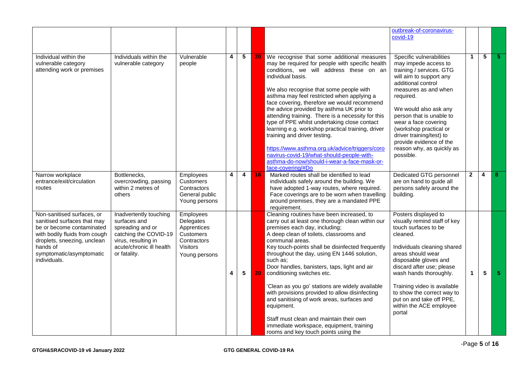|                                                                                                                                                                                                                |                                                                                                                                                        |                                                                                                              |   |                 |    |                                                                                                                                                                                                                                                                                                                                                                                                                                                                                                                                                                                                                                                                                                                 | outbreak-of-coronavirus-<br>covid-19                                                                                                                                                                                                                                                                                                                                       |                |   |     |
|----------------------------------------------------------------------------------------------------------------------------------------------------------------------------------------------------------------|--------------------------------------------------------------------------------------------------------------------------------------------------------|--------------------------------------------------------------------------------------------------------------|---|-----------------|----|-----------------------------------------------------------------------------------------------------------------------------------------------------------------------------------------------------------------------------------------------------------------------------------------------------------------------------------------------------------------------------------------------------------------------------------------------------------------------------------------------------------------------------------------------------------------------------------------------------------------------------------------------------------------------------------------------------------------|----------------------------------------------------------------------------------------------------------------------------------------------------------------------------------------------------------------------------------------------------------------------------------------------------------------------------------------------------------------------------|----------------|---|-----|
|                                                                                                                                                                                                                |                                                                                                                                                        |                                                                                                              |   |                 |    |                                                                                                                                                                                                                                                                                                                                                                                                                                                                                                                                                                                                                                                                                                                 |                                                                                                                                                                                                                                                                                                                                                                            |                |   |     |
| Individual within the<br>vulnerable category<br>attending work or premises                                                                                                                                     | Individuals within the<br>vulnerable category                                                                                                          | Vulnerable<br>people                                                                                         | 4 | 5               | 20 | We recognise that some additional measures<br>may be required for people with specific health<br>conditions, we will address these on an<br>individual basis.<br>We also recognise that some people with<br>asthma may feel restricted when applying a<br>face covering, therefore we would recommend<br>the advice provided by asthma UK prior to<br>attending training. There is a necessity for this<br>type of PPE whilst undertaking close contact<br>learning e.g. workshop practical training, driver<br>training and driver testing.<br>https://www.asthma.org.uk/advice/triggers/coro<br>navirus-covid-19/what-should-people-with-<br>asthma-do-now/should-i-wear-a-face-mask-or-<br>face-covering/#Do | Specific vulnerabilities<br>may impede access to<br>training / services. GTG<br>will aim to support any<br>additional control<br>measures as and when<br>required.<br>We would also ask any<br>person that is unable to<br>wear a face covering<br>(workshop practical or<br>driver training/test) to<br>provide evidence of the<br>reason why, as quickly as<br>possible. | $\mathbf 1$    | 5 | -51 |
| Narrow workplace<br>entrance/exit/circulation<br>routes                                                                                                                                                        | Bottlenecks,<br>overcrowding, passing<br>within 2 metres of<br>others                                                                                  | Employees<br>Customers<br>Contractors<br>General public<br>Young persons                                     | 4 | 4               | 16 | Marked routes shall be identified to lead<br>individuals safely around the building. We<br>have adopted 1-way routes, where required.<br>Face coverings are to be worn when travelling<br>around premises, they are a mandated PPE<br>requirement.                                                                                                                                                                                                                                                                                                                                                                                                                                                              | Dedicated GTG personnel<br>are on hand to guide all<br>persons safely around the<br>building.                                                                                                                                                                                                                                                                              | $\overline{2}$ | 4 | 8   |
| Non-sanitised surfaces, or<br>sanitised surfaces that may<br>be or become contaminated<br>with bodily fluids from cough<br>droplets, sneezing, unclean<br>hands of<br>symptomatic/asymptomatic<br>individuals. | Inadvertently touching<br>surfaces and<br>spreading and or<br>catching the COVID-19<br>virus, resulting in<br>acute/chronic ill health<br>or fatality. | Employees<br>Delegates<br>Apprentices<br><b>Customers</b><br>Contractors<br><b>Visitors</b><br>Young persons | 4 | $5\phantom{.0}$ | 20 | Cleaning routines have been increased, to<br>carry out at least one thorough clean within our<br>premises each day, including;<br>A deep clean of toilets, classrooms and<br>communal areas.<br>Key touch-points shall be disinfected frequently<br>throughout the day, using EN 1446 solution,<br>such as:<br>Door handles, banisters, taps, light and air<br>conditioning switches etc.<br>'Clean as you go' stations are widely available<br>with provisions provided to allow disinfecting<br>and sanitising of work areas, surfaces and<br>equipment.<br>Staff must clean and maintain their own<br>immediate workspace, equipment, training<br>rooms and key touch points using the                       | Posters displayed to<br>visually remind staff of key<br>touch surfaces to be<br>cleaned.<br>Individuals cleaning shared<br>areas should wear<br>disposable gloves and<br>discard after use; please<br>wash hands thoroughly.<br>Training video is available<br>to show the correct way to<br>put on and take off PPE,<br>within the ACE employee<br>portal                 | 1              | 5 | 5.  |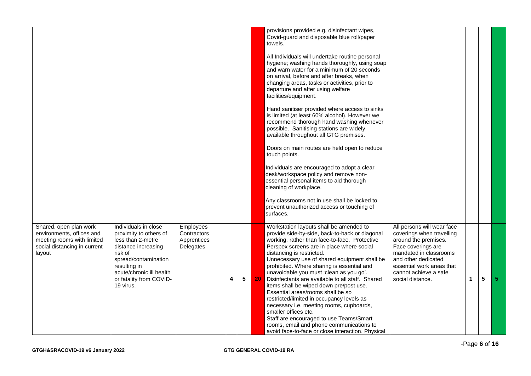|                                                                                                                             |                                                                                                                                                                                                                   |                                                      |   |   |    | provisions provided e.g. disinfectant wipes,<br>Covid-guard and disposable blue roll/paper<br>towels.<br>All Individuals will undertake routine personal<br>hygiene; washing hands thoroughly, using soap<br>and warn water for a minimum of 20 seconds<br>on arrival, before and after breaks, when<br>changing areas, tasks or activities, prior to<br>departure and after using welfare<br>facilities/equipment.<br>Hand sanitiser provided where access to sinks<br>is limited (at least 60% alcohol). However we<br>recommend thorough hand washing whenever<br>possible. Sanitising stations are widely<br>available throughout all GTG premises.<br>Doors on main routes are held open to reduce<br>touch points.<br>Individuals are encouraged to adopt a clear<br>desk/workspace policy and remove non-<br>essential personal items to aid thorough<br>cleaning of workplace.<br>Any classrooms not in use shall be locked to<br>prevent unauthorized access or touching of<br>surfaces. |                                                                                                                                                                                                                                  |    |   |                |
|-----------------------------------------------------------------------------------------------------------------------------|-------------------------------------------------------------------------------------------------------------------------------------------------------------------------------------------------------------------|------------------------------------------------------|---|---|----|---------------------------------------------------------------------------------------------------------------------------------------------------------------------------------------------------------------------------------------------------------------------------------------------------------------------------------------------------------------------------------------------------------------------------------------------------------------------------------------------------------------------------------------------------------------------------------------------------------------------------------------------------------------------------------------------------------------------------------------------------------------------------------------------------------------------------------------------------------------------------------------------------------------------------------------------------------------------------------------------------|----------------------------------------------------------------------------------------------------------------------------------------------------------------------------------------------------------------------------------|----|---|----------------|
| Shared, open plan work<br>environments, offices and<br>meeting rooms with limited<br>social distancing in current<br>layout | Individuals in close<br>proximity to others of<br>less than 2-metre<br>distance increasing<br>risk of<br>spread/contamination<br>resulting in<br>acute/chronic ill health<br>or fatality from COVID-<br>19 virus. | Employees<br>Contractors<br>Apprentices<br>Delegates | 4 | 5 | 20 | Workstation layouts shall be amended to<br>provide side-by-side, back-to-back or diagonal<br>working, rather than face-to-face. Protective<br>Perspex screens are in place where social<br>distancing is restricted.<br>Unnecessary use of shared equipment shall be<br>prohibited. Where sharing is essential and<br>unavoidable you must 'clean as you go'.<br>Disinfectants are available to all staff. Shared<br>items shall be wiped down pre/post use.<br>Essential areas/rooms shall be so<br>restricted/limited in occupancy levels as<br>necessary i.e. meeting rooms, cupboards,<br>smaller offices etc.<br>Staff are encouraged to use Teams/Smart<br>rooms, email and phone communications to<br>avoid face-to-face or close interaction. Physical                                                                                                                                                                                                                                    | All persons will wear face<br>coverings when travelling<br>around the premises.<br>Face coverings are<br>mandated in classrooms<br>and other dedicated<br>essential work areas that<br>cannot achieve a safe<br>social distance. | 1. | 5 | 5 <sub>5</sub> |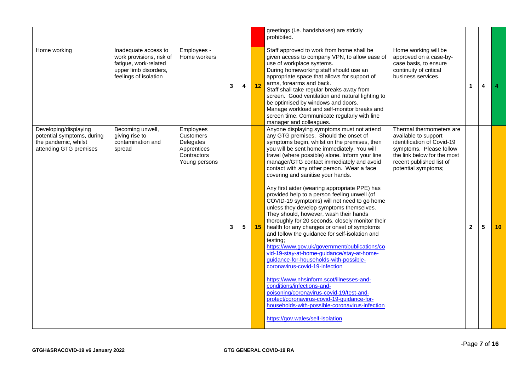|                                                                                                       |                                                                                                                             |                                                                                    |   |                 |    | greetings (i.e. handshakes) are strictly<br>prohibited.                                                                                                                                                                                                                                                                                                                                                                                                                                                                                                                                                                                                                                                                                                                                                                                                                                                                                                                                                                                                                                                                                                                                                            |                                                                                                                                                                                             |              |   |                      |
|-------------------------------------------------------------------------------------------------------|-----------------------------------------------------------------------------------------------------------------------------|------------------------------------------------------------------------------------|---|-----------------|----|--------------------------------------------------------------------------------------------------------------------------------------------------------------------------------------------------------------------------------------------------------------------------------------------------------------------------------------------------------------------------------------------------------------------------------------------------------------------------------------------------------------------------------------------------------------------------------------------------------------------------------------------------------------------------------------------------------------------------------------------------------------------------------------------------------------------------------------------------------------------------------------------------------------------------------------------------------------------------------------------------------------------------------------------------------------------------------------------------------------------------------------------------------------------------------------------------------------------|---------------------------------------------------------------------------------------------------------------------------------------------------------------------------------------------|--------------|---|----------------------|
| Home working                                                                                          | Inadequate access to<br>work provisions, risk of<br>fatigue, work-related<br>upper limb disorders,<br>feelings of isolation | Employees -<br>Home workers                                                        | 3 | 4               | 12 | Staff approved to work from home shall be<br>given access to company VPN, to allow ease of<br>use of workplace systems.<br>During homeworking staff should use an<br>appropriate space that allows for support of<br>arms, forearms and back.<br>Staff shall take regular breaks away from<br>screen. Good ventilation and natural lighting to<br>be optimised by windows and doors.<br>Manage workload and self-monitor breaks and<br>screen time. Communicate regularly with line<br>manager and colleagues.                                                                                                                                                                                                                                                                                                                                                                                                                                                                                                                                                                                                                                                                                                     | Home working will be<br>approved on a case-by-<br>case basis, to ensure<br>continuity of critical<br>business services.                                                                     | $\mathbf{1}$ | 4 | $\blacktriangleleft$ |
| Developing/displaying<br>potential symptoms, during<br>the pandemic, whilst<br>attending GTG premises | Becoming unwell,<br>giving rise to<br>contamination and<br>spread                                                           | Employees<br>Customers<br>Delegates<br>Apprentices<br>Contractors<br>Young persons | 3 | $5\phantom{.0}$ | 15 | Anyone displaying symptoms must not attend<br>any GTG premises. Should the onset of<br>symptoms begin, whilst on the premises, then<br>you will be sent home immediately. You will<br>travel (where possible) alone. Inform your line<br>manager/GTG contact immediately and avoid<br>contact with any other person. Wear a face<br>covering and sanitise your hands.<br>Any first aider (wearing appropriate PPE) has<br>provided help to a person feeling unwell (of<br>COVID-19 symptoms) will not need to go home<br>unless they develop symptoms themselves.<br>They should, however, wash their hands<br>thoroughly for 20 seconds, closely monitor their<br>health for any changes or onset of symptoms<br>and follow the guidance for self-isolation and<br>testing;<br>https://www.gov.uk/government/publications/co<br>vid-19-stay-at-home-guidance/stay-at-home-<br>guidance-for-households-with-possible-<br>coronavirus-covid-19-infection<br>https://www.nhsinform.scot/illnesses-and-<br>conditions/infections-and-<br>poisoning/coronavirus-covid-19/test-and-<br>protect/coronavirus-covid-19-quidance-for-<br>households-with-possible-coronavirus-infection<br>https://gov.wales/self-isolation | Thermal thermometers are<br>available to support<br>identification of Covid-19<br>symptoms. Please follow<br>the link below for the most<br>recent published list of<br>potential symptoms; | $\mathbf 2$  | 5 | 10                   |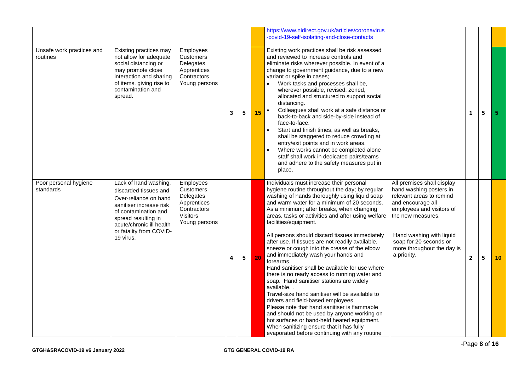|                                       |                                                                                                                                                                                                                       |                                                                                                |   |                 |    | https://www.nidirect.gov.uk/articles/coronavirus<br>-covid-19-self-isolating-and-close-contacts                                                                                                                                                                                                                                                                                                                                                                                                                                                                                                                                                                                                                                                                                                                                                                                                                                                                                                                                   |                                                                                                                                                                                                                                                             |              |                 |                |
|---------------------------------------|-----------------------------------------------------------------------------------------------------------------------------------------------------------------------------------------------------------------------|------------------------------------------------------------------------------------------------|---|-----------------|----|-----------------------------------------------------------------------------------------------------------------------------------------------------------------------------------------------------------------------------------------------------------------------------------------------------------------------------------------------------------------------------------------------------------------------------------------------------------------------------------------------------------------------------------------------------------------------------------------------------------------------------------------------------------------------------------------------------------------------------------------------------------------------------------------------------------------------------------------------------------------------------------------------------------------------------------------------------------------------------------------------------------------------------------|-------------------------------------------------------------------------------------------------------------------------------------------------------------------------------------------------------------------------------------------------------------|--------------|-----------------|----------------|
| Unsafe work practices and<br>routines | Existing practices may<br>not allow for adequate<br>social distancing or<br>may promote close<br>interaction and sharing<br>of items, giving rise to<br>contamination and<br>spread.                                  | Employees<br>Customers<br>Delegates<br>Apprentices<br>Contractors<br>Young persons             | 3 | 5               | 15 | Existing work practices shall be risk assessed<br>and reviewed to increase controls and<br>eliminate risks wherever possible. In event of a<br>change to government guidance, due to a new<br>variant or spike in cases;<br>Work tasks and processes shall be,<br>wherever possible, revised, zoned,<br>allocated and structured to support social<br>distancing.<br>Colleagues shall work at a safe distance or<br>$\bullet$<br>back-to-back and side-by-side instead of<br>face-to-face.<br>Start and finish times, as well as breaks,<br>shall be staggered to reduce crowding at<br>entry/exit points and in work areas.<br>Where works cannot be completed alone<br>staff shall work in dedicated pairs/teams<br>and adhere to the safety measures put in<br>place.                                                                                                                                                                                                                                                          |                                                                                                                                                                                                                                                             | $\mathbf{1}$ | $5\phantom{.0}$ | $\overline{5}$ |
| Poor personal hygiene<br>standards    | Lack of hand washing,<br>discarded tissues and<br>Over-reliance on hand<br>sanitiser increase risk<br>of contamination and<br>spread resulting in<br>acute/chronic ill health<br>or fatality from COVID-<br>19 virus. | Employees<br>Customers<br>Delegates<br>Apprentices<br>Contractors<br>Visitors<br>Young persons | 4 | $5\phantom{.0}$ | 20 | Individuals must increase their personal<br>hygiene routine throughout the day; by regular<br>washing of hands thoroughly using liquid soap<br>and warm water for a minimum of 20 seconds.<br>As a minimum; after breaks, when changing<br>areas, tasks or activities and after using welfare<br>facilities/equipment.<br>All persons should discard tissues immediately<br>after use. If tissues are not readily available,<br>sneeze or cough into the crease of the elbow<br>and immediately wash your hands and<br>forearms.<br>Hand sanitiser shall be available for use where<br>there is no ready access to running water and<br>soap. Hand sanitiser stations are widely<br>available<br>Travel-size hand sanitiser will be available to<br>drivers and field-based employees.<br>Please note that hand sanitiser is flammable<br>and should not be used by anyone working on<br>hot surfaces or hand-held heated equipment.<br>When sanitizing ensure that it has fully<br>evaporated before continuing with any routine | All premises shall display<br>hand washing posters in<br>relevant areas to remind<br>and encourage all<br>employees and visitors of<br>the new measures.<br>Hand washing with liquid<br>soap for 20 seconds or<br>more throughout the day is<br>a priority. | $\mathbf{2}$ | 5               | 10             |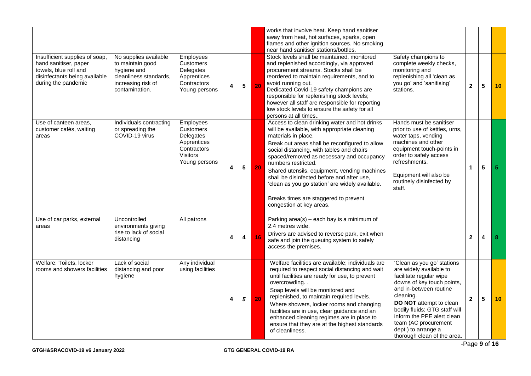|                                                                                                                                          |                                                                                                                            |                                                                                                              |   |                 |    | works that involve heat. Keep hand sanitiser<br>away from heat, hot surfaces, sparks, open<br>flames and other ignition sources. No smoking<br>near hand sanitiser stations/bottles.                                                                                                                                                                                                                                                                                                                                                                                                                                                                                                                                                                                                                  |                |                         |                 |
|------------------------------------------------------------------------------------------------------------------------------------------|----------------------------------------------------------------------------------------------------------------------------|--------------------------------------------------------------------------------------------------------------|---|-----------------|----|-------------------------------------------------------------------------------------------------------------------------------------------------------------------------------------------------------------------------------------------------------------------------------------------------------------------------------------------------------------------------------------------------------------------------------------------------------------------------------------------------------------------------------------------------------------------------------------------------------------------------------------------------------------------------------------------------------------------------------------------------------------------------------------------------------|----------------|-------------------------|-----------------|
| Insufficient supplies of soap,<br>hand sanitiser, paper<br>towels, blue roll and<br>disinfectants being available<br>during the pandemic | No supplies available<br>to maintain good<br>hygiene and<br>cleanliness standards.<br>increasing risk of<br>contamination. | Employees<br>Customers<br>Delegates<br>Apprentices<br>Contractors<br>Young persons                           | 4 | $5\phantom{.0}$ | 20 | Stock levels shall be maintained, monitored<br>Safety champions to<br>and replenished accordingly, via approved<br>complete weekly checks,<br>procurement streams. Stocks shall be<br>monitoring and<br>reordered to maintain requirements, and to<br>replenishing all 'clean as<br>you go' and 'sanitising'<br>avoid running out.<br>Dedicated Covid-19 safety champions are<br>stations.<br>responsible for replenishing stock levels;<br>however all staff are responsible for reporting<br>low stock levels to ensure the safety for all<br>persons at all times                                                                                                                                                                                                                                  | $\overline{2}$ | 5                       | 10 <sup>°</sup> |
| Use of canteen areas,<br>customer cafés, waiting<br>areas                                                                                | Individuals contracting<br>or spreading the<br>COVID-19 virus                                                              | Employees<br><b>Customers</b><br>Delegates<br>Apprentices<br>Contractors<br><b>Visitors</b><br>Young persons | 4 | $5\phantom{a}$  | 20 | Access to clean drinking water and hot drinks<br>Hands must be sanitiser<br>will be available, with appropriate cleaning<br>prior to use of kettles, urns,<br>materials in place.<br>water taps, vending<br>machines and other<br>Break out areas shall be reconfigured to allow<br>equipment touch-points in<br>social distancing, with tables and chairs<br>order to safely access<br>spaced/removed as necessary and occupancy<br>refreshments.<br>numbers restricted.<br>Shared utensils, equipment, vending machines<br>Equipment will also be<br>shall be disinfected before and after use,<br>routinely disinfected by<br>'clean as you go station' are widely available.<br>staff.<br>Breaks times are staggered to prevent<br>congestion at key areas.                                       | $\mathbf{1}$   | $\overline{\mathbf{5}}$ | 5 <sup>5</sup>  |
| Use of car parks, external<br>areas                                                                                                      | Uncontrolled<br>environments giving<br>rise to lack of social<br>distancing                                                | All patrons                                                                                                  | 4 | 4               | 16 | Parking $area(s) - each$ bay is a minimum of<br>2.4 metres wide.<br>Drivers are advised to reverse park, exit when<br>safe and join the queuing system to safely<br>access the premises.                                                                                                                                                                                                                                                                                                                                                                                                                                                                                                                                                                                                              | $\mathbf{2}$   | 4                       | 8               |
| Welfare: Toilets, locker<br>rooms and showers facilities                                                                                 | Lack of social<br>distancing and poor<br>hygiene                                                                           | Any individual<br>using facilities                                                                           | 4 | $\mathbf{5}$    | 20 | Welfare facilities are available; individuals are<br>'Clean as you go' stations<br>are widely available to<br>required to respect social distancing and wait<br>until facilities are ready for use, to prevent<br>facilitate regular wipe<br>overcrowding<br>downs of key touch points,<br>and in-between routine<br>Soap levels will be monitored and<br>cleaning.<br>replenished, to maintain required levels.<br>DO NOT attempt to clean<br>Where showers, locker rooms and changing<br>bodily fluids; GTG staff will<br>facilities are in use, clear guidance and an<br>inform the PPE alert clean<br>enhanced cleaning regimes are in place to<br>team (AC procurement<br>ensure that they are at the highest standards<br>dept.) to arrange a<br>of cleanliness.<br>thorough clean of the area. | $\overline{2}$ | 5                       | 10              |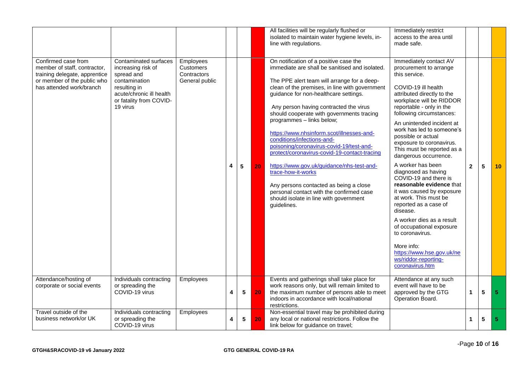|                                                                                                                                                 |                                                                                                                                                               |                                                         |   |                |    | All facilities will be regularly flushed or<br>isolated to maintain water hygiene levels, in-<br>line with regulations.                                                                                                                                                                                                                                                                                                                                                                                                                                                                                                                                                                                                                         | Immediately restrict<br>access to the area until<br>made safe.                                                                                                                                                                                                                                                                                                                                                                                                                                                                                                                                                                                                                                                                              |                |                 |                 |
|-------------------------------------------------------------------------------------------------------------------------------------------------|---------------------------------------------------------------------------------------------------------------------------------------------------------------|---------------------------------------------------------|---|----------------|----|-------------------------------------------------------------------------------------------------------------------------------------------------------------------------------------------------------------------------------------------------------------------------------------------------------------------------------------------------------------------------------------------------------------------------------------------------------------------------------------------------------------------------------------------------------------------------------------------------------------------------------------------------------------------------------------------------------------------------------------------------|---------------------------------------------------------------------------------------------------------------------------------------------------------------------------------------------------------------------------------------------------------------------------------------------------------------------------------------------------------------------------------------------------------------------------------------------------------------------------------------------------------------------------------------------------------------------------------------------------------------------------------------------------------------------------------------------------------------------------------------------|----------------|-----------------|-----------------|
| Confirmed case from<br>member of staff, contractor,<br>training delegate, apprentice<br>or member of the public who<br>has attended work/branch | Contaminated surfaces<br>increasing risk of<br>spread and<br>contamination<br>resulting in<br>acute/chronic ill health<br>or fatality from COVID-<br>19 virus | Employees<br>Customers<br>Contractors<br>General public | 4 | $5\phantom{1}$ | 20 | On notification of a positive case the<br>immediate are shall be sanitised and isolated.<br>The PPE alert team will arrange for a deep-<br>clean of the premises, in line with government<br>guidance for non-healthcare settings.<br>Any person having contracted the virus<br>should cooperate with governments tracing<br>programmes - links below;<br>https://www.nhsinform.scot/illnesses-and-<br>conditions/infections-and-<br>poisoning/coronavirus-covid-19/test-and-<br>protect/coronavirus-covid-19-contact-tracing<br>https://www.gov.uk/guidance/nhs-test-and-<br>trace-how-it-works<br>Any persons contacted as being a close<br>personal contact with the confirmed case<br>should isolate in line with government<br>guidelines. | Immediately contact AV<br>procurement to arrange<br>this service.<br>COVID-19 ill health<br>attributed directly to the<br>workplace will be RIDDOR<br>reportable - only in the<br>following circumstances:<br>An unintended incident at<br>work has led to someone's<br>possible or actual<br>exposure to coronavirus.<br>This must be reported as a<br>dangerous occurrence.<br>A worker has been<br>diagnosed as having<br>COVID-19 and there is<br>reasonable evidence that<br>it was caused by exposure<br>at work. This must be<br>reported as a case of<br>disease.<br>A worker dies as a result<br>of occupational exposure<br>to coronavirus.<br>More info:<br>https://www.hse.gov.uk/ne<br>ws/riddor-reporting-<br>coronavirus.htm | $\overline{2}$ | 5               | 10 <sup>1</sup> |
| Attendance/hosting of<br>corporate or social events                                                                                             | Individuals contracting<br>or spreading the<br>COVID-19 virus                                                                                                 | Employees                                               | 4 | 5              | 20 | Events and gatherings shall take place for<br>work reasons only, but will remain limited to<br>the maximum number of persons able to meet<br>indoors in accordance with local/national<br>restrictions.                                                                                                                                                                                                                                                                                                                                                                                                                                                                                                                                         | Attendance at any such<br>event will have to be<br>approved by the GTG<br>Operation Board.                                                                                                                                                                                                                                                                                                                                                                                                                                                                                                                                                                                                                                                  | $\mathbf 1$    | $5\phantom{.0}$ | 5               |
| Travel outside of the<br>business network/or UK                                                                                                 | Individuals contracting<br>or spreading the<br>COVID-19 virus                                                                                                 | Employees                                               | 4 | 5              | 20 | Non-essential travel may be prohibited during<br>any local or national restrictions. Follow the<br>link below for guidance on travel;                                                                                                                                                                                                                                                                                                                                                                                                                                                                                                                                                                                                           |                                                                                                                                                                                                                                                                                                                                                                                                                                                                                                                                                                                                                                                                                                                                             | 1.             | 5               | 5.              |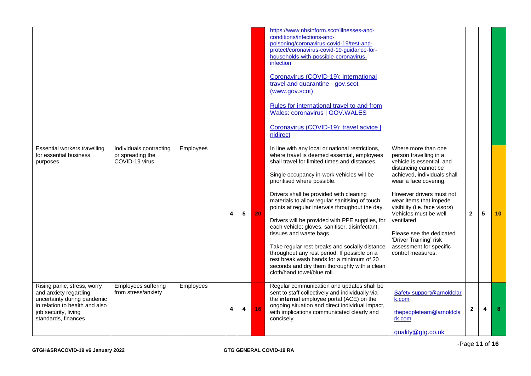|                                                                                                                                                                      |                                                                |           |   |   |    | https://www.nhsinform.scot/illnesses-and-<br>conditions/infections-and-<br>poisoning/coronavirus-covid-19/test-and-<br>protect/coronavirus-covid-19-guidance-for-<br>households-with-possible-coronavirus-<br>infection<br>Coronavirus (COVID-19): international<br>travel and quarantine - gov.scot<br>(www.gov.scot)<br>Rules for international travel to and from<br><b>Wales: coronavirus   GOV.WALES</b><br>Coronavirus (COVID-19): travel advice  <br>nidirect                                                                                                                                                                                                                                                                      |                                                                                                                                                                                                                                                                                                                                                                                                 |                |            |    |
|----------------------------------------------------------------------------------------------------------------------------------------------------------------------|----------------------------------------------------------------|-----------|---|---|----|-------------------------------------------------------------------------------------------------------------------------------------------------------------------------------------------------------------------------------------------------------------------------------------------------------------------------------------------------------------------------------------------------------------------------------------------------------------------------------------------------------------------------------------------------------------------------------------------------------------------------------------------------------------------------------------------------------------------------------------------|-------------------------------------------------------------------------------------------------------------------------------------------------------------------------------------------------------------------------------------------------------------------------------------------------------------------------------------------------------------------------------------------------|----------------|------------|----|
| Essential workers travelling<br>for essential business<br>purposes                                                                                                   | Individuals contracting<br>or spreading the<br>COVID-19 virus. | Employees | 4 | 5 | 20 | In line with any local or national restrictions,<br>where travel is deemed essential, employees<br>shall travel for limited times and distances.<br>Single occupancy in-work vehicles will be<br>prioritised where possible.<br>Drivers shall be provided with cleaning<br>materials to allow regular sanitising of touch<br>points at regular intervals throughout the day.<br>Drivers will be provided with PPE supplies, for<br>each vehicle; gloves, sanitiser, disinfectant,<br>tissues and waste bags<br>Take regular rest breaks and socially distance<br>throughout any rest period. If possible on a<br>rest break wash hands for a minimum of 20<br>seconds and dry them thoroughly with a clean<br>cloth/hand towel/blue roll. | Where more than one<br>person travelling in a<br>vehicle is essential, and<br>distancing cannot be<br>achieved, individuals shall<br>wear a face covering.<br>However drivers must not<br>wear items that impede<br>visibility (i.e. face visors)<br>Vehicles must be well<br>ventilated.<br>Please see the dedicated<br>'Driver Training' risk<br>assessment for specific<br>control measures. | $\overline{2}$ | $\sqrt{5}$ | 10 |
| Rising panic, stress, worry<br>and anxiety regarding<br>uncertainty during pandemic<br>in relation to health and also<br>job security, living<br>standards, finances | Employees suffering<br>from stress/anxiety                     | Employees | 4 | 4 | 16 | Regular communication and updates shall be<br>sent to staff collectively and individually via<br>the internal employee portal (ACE) on the<br>ongoing situation and direct individual impact,<br>with implications communicated clearly and<br>concisely.                                                                                                                                                                                                                                                                                                                                                                                                                                                                                 | Safety.support@arnoldclar<br>k.com<br>thepeopleteam@arnoldcla<br>rk.com<br>quality@gtg.co.uk                                                                                                                                                                                                                                                                                                    | $\mathbf{2}$   | 4          | 8  |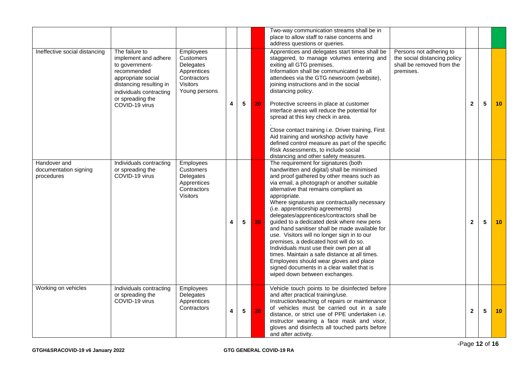|                                                     |                                                                                                                                                                                           |                                                                                                              |                         |                 |    | Two-way communication streams shall be in<br>place to allow staff to raise concerns and<br>address questions or queries.                                                                                                                                                                                                                                                                                                                                                                                                                                                                                                                                                                                                                                                                  |                                                                                                   |              |   |    |
|-----------------------------------------------------|-------------------------------------------------------------------------------------------------------------------------------------------------------------------------------------------|--------------------------------------------------------------------------------------------------------------|-------------------------|-----------------|----|-------------------------------------------------------------------------------------------------------------------------------------------------------------------------------------------------------------------------------------------------------------------------------------------------------------------------------------------------------------------------------------------------------------------------------------------------------------------------------------------------------------------------------------------------------------------------------------------------------------------------------------------------------------------------------------------------------------------------------------------------------------------------------------------|---------------------------------------------------------------------------------------------------|--------------|---|----|
| Ineffective social distancing                       | The failure to<br>implement and adhere<br>to government-<br>recommended<br>appropriate social<br>distancing resulting in<br>individuals contracting<br>or spreading the<br>COVID-19 virus | Employees<br><b>Customers</b><br>Delegates<br>Apprentices<br>Contractors<br><b>Visitors</b><br>Young persons | 4                       | 5               | 20 | Apprentices and delegates start times shall be<br>staggered, to manage volumes entering and<br>exiting all GTG premises.<br>Information shall be communicated to all<br>attendees via the GTG newsroom (website),<br>joining instructions and in the social<br>distancing policy.<br>Protective screens in place at customer<br>interface areas will reduce the potential for<br>spread at this key check in area.<br>Close contact training i.e. Driver training, First<br>Aid training and workshop activity have<br>defined control measure as part of the specific<br>Risk Assessments, to include social<br>distancing and other safety measures.                                                                                                                                    | Persons not adhering to<br>the social distancing policy<br>shall be removed from the<br>premises. | $\mathbf 2$  | 5 | 10 |
| Handover and<br>documentation signing<br>procedures | Individuals contracting<br>or spreading the<br>COVID-19 virus                                                                                                                             | Employees<br><b>Customers</b><br>Delegates<br>Apprentices<br>Contractors<br>Visitors                         | 4                       | 5               | 20 | The requirement for signatures (both<br>handwritten and digital) shall be minimised<br>and proof gathered by other means such as<br>via email, a photograph or another suitable<br>alternative that remains compliant as<br>appropriate.<br>Where signatures are contractually necessary<br>(i.e. apprenticeship agreements)<br>delegates/apprentices/contractors shall be<br>guided to a dedicated desk where new pens<br>and hand sanitiser shall be made available for<br>use. Visitors will no longer sign in to our<br>premises, a dedicated host will do so.<br>Individuals must use their own pen at all<br>times. Maintain a safe distance at all times.<br>Employees should wear gloves and place<br>signed documents in a clear wallet that is<br>wiped down between exchanges. |                                                                                                   | $\mathbf{2}$ | 5 | 10 |
| Working on vehicles                                 | Individuals contracting<br>or spreading the<br>COVID-19 virus                                                                                                                             | Employees<br>Delegates<br>Apprentices<br>Contractors                                                         | $\overline{\mathbf{4}}$ | $5\phantom{.0}$ | 20 | Vehicle touch points to be disinfected before<br>and after practical training/use.<br>Instruction/teaching of repairs or maintenance<br>of vehicles must be carried out in a safe<br>distance, or strict use of PPE undertaken i.e.<br>instructor wearing a face mask and visor,<br>gloves and disinfects all touched parts before<br>and after activity.                                                                                                                                                                                                                                                                                                                                                                                                                                 |                                                                                                   | $\mathbf 2$  | 5 | 10 |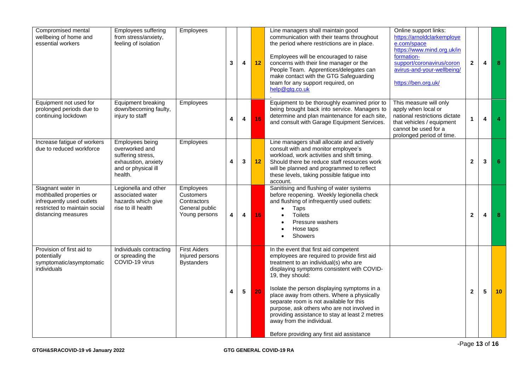| Compromised mental<br>wellbeing of home and<br>essential workers                                                                   | Employees suffering<br>from stress/anxiety,<br>feeling of isolation                                             | Employees                                                                | 3 | $\overline{\mathbf{4}}$ | 12 | Line managers shall maintain good<br>communication with their teams throughout<br>the period where restrictions are in place.<br>Employees will be encouraged to raise<br>concerns with their line manager or the<br>People Team. Apprentices/delegates can<br>make contact with the GTG Safeguarding<br>team for any support required, on<br>help@gtg.co.uk                                                                                                                                                       | Online support links:<br>https://arnoldclarkemploye<br>e.com/space<br>https://www.mind.org.uk/in<br>formation-<br>support/coronavirus/coron<br>avirus-and-your-wellbeing/<br>https://ben.org.uk/ | $\mathbf{2}$            | 4 | 8               |
|------------------------------------------------------------------------------------------------------------------------------------|-----------------------------------------------------------------------------------------------------------------|--------------------------------------------------------------------------|---|-------------------------|----|--------------------------------------------------------------------------------------------------------------------------------------------------------------------------------------------------------------------------------------------------------------------------------------------------------------------------------------------------------------------------------------------------------------------------------------------------------------------------------------------------------------------|--------------------------------------------------------------------------------------------------------------------------------------------------------------------------------------------------|-------------------------|---|-----------------|
| Equipment not used for<br>prolonged periods due to<br>continuing lockdown                                                          | Equipment breaking<br>down/becoming faulty,<br>injury to staff                                                  | Employees                                                                | 4 | 4                       | 16 | Equipment to be thoroughly examined prior to<br>being brought back into service. Managers to<br>determine and plan maintenance for each site,<br>and consult with Garage Equipment Services.                                                                                                                                                                                                                                                                                                                       | This measure will only<br>apply when local or<br>national restrictions dictate<br>that vehicles / equipment<br>cannot be used for a<br>prolonged period of time.                                 | 1                       | 4 |                 |
| Increase fatigue of workers<br>due to reduced workforce                                                                            | Employees being<br>overworked and<br>suffering stress,<br>exhaustion, anxiety<br>and or physical ill<br>health. | <b>Employees</b>                                                         | 4 | 3                       | 12 | Line managers shall allocate and actively<br>consult with and monitor employee's<br>workload, work activities and shift timing.<br>Should there be reduce staff resources work<br>will be planned and programmed to reflect<br>these levels, taking possible fatigue into<br>account.                                                                                                                                                                                                                              |                                                                                                                                                                                                  | $\mathbf{2}$            | 3 | 6               |
| Stagnant water in<br>mothballed properties or<br>infrequently used outlets<br>restricted to maintain social<br>distancing measures | Legionella and other<br>associated water<br>hazards which give<br>rise to ill health                            | Employees<br>Customers<br>Contractors<br>General public<br>Young persons | 4 | 4                       | 16 | Sanitising and flushing of water systems<br>before reopening. Weekly legionella check<br>and flushing of infrequently used outlets:<br>Taps<br><b>Toilets</b><br>$\bullet$<br>Pressure washers<br>Hose taps<br>Showers                                                                                                                                                                                                                                                                                             |                                                                                                                                                                                                  | $\overline{\mathbf{2}}$ | 4 | 8               |
| Provision of first aid to<br>potentially<br>symptomatic/asymptomatic<br>individuals                                                | Individuals contracting<br>or spreading the<br>COVID-19 virus                                                   | <b>First Aiders</b><br>Injured persons<br><b>Bystanders</b>              | 4 | $5\phantom{.0}$         | 20 | In the event that first aid competent<br>employees are required to provide first aid<br>treatment to an individual(s) who are<br>displaying symptoms consistent with COVID-<br>19, they should:<br>Isolate the person displaying symptoms in a<br>place away from others. Where a physically<br>separate room is not available for this<br>purpose, ask others who are not involved in<br>providing assistance to stay at least 2 metres<br>away from the individual.<br>Before providing any first aid assistance |                                                                                                                                                                                                  | $\mathbf{2}$            | 5 | 10 <sup>°</sup> |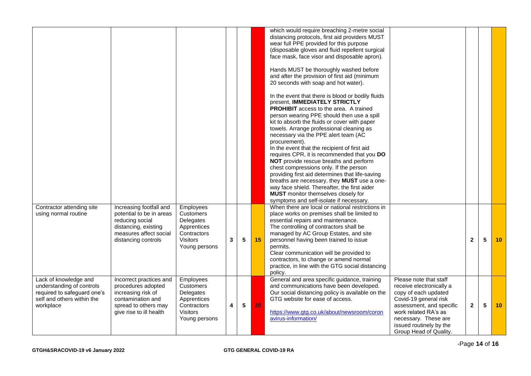|                                                                                                                              | Increasing footfall and                                                                                                                     | Employees                                                                                             |   |                 |    | which would require breaching 2-metre social<br>distancing protocols, first aid providers MUST<br>wear full PPE provided for this purpose<br>(disposable gloves and fluid repellent surgical<br>face mask, face visor and disposable apron).<br>Hands MUST be thoroughly washed before<br>and after the provision of first aid (minimum<br>20 seconds with soap and hot water).<br>In the event that there is blood or bodily fluids<br>present, IMMEDIATELY STRICTLY<br>PROHIBIT access to the area. A trained<br>person wearing PPE should then use a spill<br>kit to absorb the fluids or cover with paper<br>towels. Arrange professional cleaning as<br>necessary via the PPE alert team (AC<br>procurement).<br>In the event that the recipient of first aid<br>requires CPR, it is recommended that you DO<br>NOT provide rescue breaths and perform<br>chest compressions only. If the person<br>providing first aid determines that life-saving<br>breaths are necessary, they MUST use a one-<br>way face shield. Thereafter, the first aider<br><b>MUST</b> monitor themselves closely for<br>symptoms and self-isolate if necessary.<br>When there are local or national restrictions in |                                                                                                                                                                                                                                      |                |   |                 |
|------------------------------------------------------------------------------------------------------------------------------|---------------------------------------------------------------------------------------------------------------------------------------------|-------------------------------------------------------------------------------------------------------|---|-----------------|----|------------------------------------------------------------------------------------------------------------------------------------------------------------------------------------------------------------------------------------------------------------------------------------------------------------------------------------------------------------------------------------------------------------------------------------------------------------------------------------------------------------------------------------------------------------------------------------------------------------------------------------------------------------------------------------------------------------------------------------------------------------------------------------------------------------------------------------------------------------------------------------------------------------------------------------------------------------------------------------------------------------------------------------------------------------------------------------------------------------------------------------------------------------------------------------------------------|--------------------------------------------------------------------------------------------------------------------------------------------------------------------------------------------------------------------------------------|----------------|---|-----------------|
| Contractor attending site<br>using normal routine                                                                            | potential to be in areas<br>reducing social<br>distancing, existing<br>measures affect social<br>distancing controls                        | Customers<br>Delegates<br>Apprentices<br>Contractors<br><b>Visitors</b><br>Young persons              | 3 | 5               | 15 | place works on premises shall be limited to<br>essential repairs and maintenance.<br>The controlling of contractors shall be<br>managed by AC Group Estates, and site<br>personnel having been trained to issue<br>permits.<br>Clear communication will be provided to<br>contractors, to change or amend normal<br>practice, in line with the GTG social distancing<br>policy.                                                                                                                                                                                                                                                                                                                                                                                                                                                                                                                                                                                                                                                                                                                                                                                                                      |                                                                                                                                                                                                                                      | $\overline{2}$ | 5 | 10 <sup>1</sup> |
| Lack of knowledge and<br>understanding of controls<br>required to safeguard one's<br>self and others within the<br>workplace | Incorrect practices and<br>procedures adopted<br>increasing risk of<br>contamination and<br>spread to others may<br>give rise to ill health | Employees<br>Customers<br>Delegates<br>Apprentices<br>Contractors<br><b>Visitors</b><br>Young persons | 4 | $5\phantom{.0}$ | 20 | General and area specific guidance, training<br>and communications have been developed.<br>Our social distancing policy is available on the<br>GTG website for ease of access.<br>https://www.gtg.co.uk/about/newsroom/coron<br>avirus-information/                                                                                                                                                                                                                                                                                                                                                                                                                                                                                                                                                                                                                                                                                                                                                                                                                                                                                                                                                  | Please note that staff<br>receive electronically a<br>copy of each updated<br>Covid-19 general risk<br>assessment, and specific<br>work related RA's as<br>necessary. These are<br>issued routinely by the<br>Group Head of Quality. | $\overline{2}$ | 5 | 10              |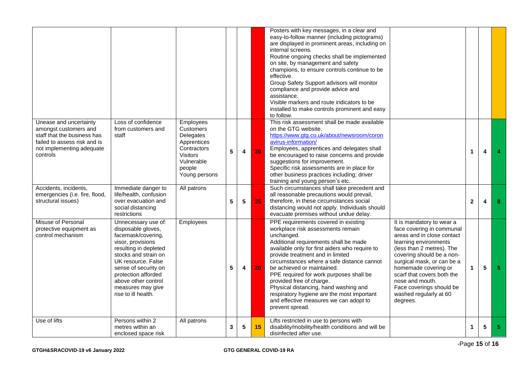|                                                                                                                                                         |                                                                                                                                                                                                                                                                               |                                                                                                                               |                 |                |    | Posters with key messages, in a clear and<br>easy-to-follow manner (including pictograms)<br>are displayed in prominent areas, including on<br>internal screens.<br>Routine ongoing checks shall be implemented<br>on site, by management and safety<br>champions, to ensure controls continue to be<br>effective.<br>Group Safety Support advisors will monitor<br>compliance and provide advice and<br>assistance.<br>Visible markers and route indicators to be<br>installed to make controls prominent and easy<br>to follow.                                                                                                                                                                                                                                                                                                                                                 |  |                      |   |    |
|---------------------------------------------------------------------------------------------------------------------------------------------------------|-------------------------------------------------------------------------------------------------------------------------------------------------------------------------------------------------------------------------------------------------------------------------------|-------------------------------------------------------------------------------------------------------------------------------|-----------------|----------------|----|-----------------------------------------------------------------------------------------------------------------------------------------------------------------------------------------------------------------------------------------------------------------------------------------------------------------------------------------------------------------------------------------------------------------------------------------------------------------------------------------------------------------------------------------------------------------------------------------------------------------------------------------------------------------------------------------------------------------------------------------------------------------------------------------------------------------------------------------------------------------------------------|--|----------------------|---|----|
| Unease and uncertainty<br>amongst customers and<br>staff that the business has<br>failed to assess risk and is<br>not implementing adequate<br>controls | Loss of confidence<br>from customers and<br>staff                                                                                                                                                                                                                             | Employees<br>Customers<br>Delegates<br>Apprentices<br>Contractors<br><b>Visitors</b><br>Vulnerable<br>people<br>Young persons | 5               | 4              | 20 | This risk assessment shall be made available<br>on the GTG website.<br>https://www.gtg.co.uk/about/newsroom/coron<br>avirus-information/<br>Employees, apprentices and delegates shall<br>be encouraged to raise concerns and provide<br>suggestions for improvement.<br>Specific risk assessments are in place for<br>other business practices including; driver<br>training and young person's etc.                                                                                                                                                                                                                                                                                                                                                                                                                                                                             |  | $\mathbf{1}$         | 4 |    |
| Accidents, incidents,<br>emergencies (i.e. fire, flood,<br>structural issues)                                                                           | Immediate danger to<br>life/health, confusion<br>over evacuation and<br>social distancing<br>restrictions                                                                                                                                                                     | All patrons                                                                                                                   | 5               | $5\phantom{1}$ | 25 | Such circumstances shall take precedent and<br>all reasonable precautions would prevail,<br>therefore, in these circumstances social<br>distancing would not apply. Individuals should<br>evacuate premises without undue delay.                                                                                                                                                                                                                                                                                                                                                                                                                                                                                                                                                                                                                                                  |  | $\mathbf{2}$         | 4 | 8  |
| Misuse of Personal<br>protective equipment as<br>control mechanism                                                                                      | Unnecessary use of:<br>disposable gloves,<br>facemask/covering,<br>visor, provisions<br>resulting in depleted<br>stocks and strain on<br>UK resource. False<br>sense of security on<br>protection afforded<br>above other control<br>measures may give<br>rise to ill health. | Employees                                                                                                                     | $5\phantom{.0}$ | 4              | 20 | PPE requirements covered in existing<br>It is mandatory to wear a<br>workplace risk assessments remain<br>face covering in communal<br>unchanged.<br>areas and in close contact<br>Additional requirements shall be made<br>learning environments<br>available only for first aiders who require to<br>(less than 2 metres). The<br>provide treatment and in limited<br>covering should be a non-<br>surgical mask, or can be a<br>circumstances where a safe distance cannot<br>homemade covering or<br>be achieved or maintained.<br>PPE required for work purposes shall be<br>scarf that covers both the<br>provided free of charge.<br>nose and mouth.<br>Physical distancing, hand washing and<br>Face coverings should be<br>respiratory hygiene are the most important<br>washed regularly at 60<br>and effective measures we can adopt to<br>degrees.<br>prevent spread. |  | $\mathbf{1}$         | 5 | 5. |
| Use of lifts                                                                                                                                            | Persons within 2<br>metres within an<br>enclosed space risk                                                                                                                                                                                                                   | All patrons                                                                                                                   | 3               | 5              | 15 | Lifts restricted in use to persons with<br>disability/mobility/health conditions and will be<br>disinfected after use.                                                                                                                                                                                                                                                                                                                                                                                                                                                                                                                                                                                                                                                                                                                                                            |  | $\blacktriangleleft$ | 5 | 5. |